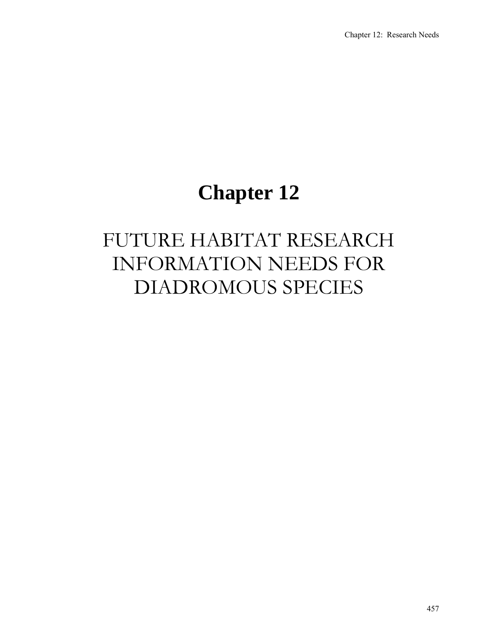# **Chapter 12**

## FUTURE HABITAT RESEARCH INFORMATION NEEDS FOR DIADROMOUS SPECIES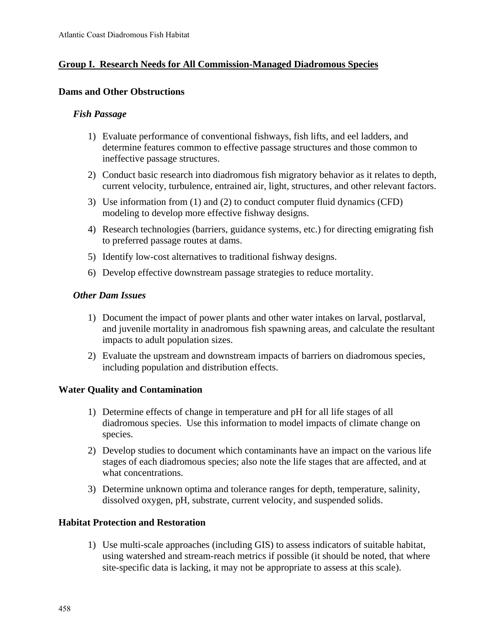## **Group I. Research Needs for All Commission-Managed Diadromous Species**

## **Dams and Other Obstructions**

## *Fish Passage*

- 1) Evaluate performance of conventional fishways, fish lifts, and eel ladders, and determine features common to effective passage structures and those common to ineffective passage structures.
- 2) Conduct basic research into diadromous fish migratory behavior as it relates to depth, current velocity, turbulence, entrained air, light, structures, and other relevant factors.
- 3) Use information from (1) and (2) to conduct computer fluid dynamics (CFD) modeling to develop more effective fishway designs.
- 4) Research technologies (barriers, guidance systems, etc.) for directing emigrating fish to preferred passage routes at dams.
- 5) Identify low-cost alternatives to traditional fishway designs.
- 6) Develop effective downstream passage strategies to reduce mortality.

## *Other Dam Issues*

- 1) Document the impact of power plants and other water intakes on larval, postlarval, and juvenile mortality in anadromous fish spawning areas, and calculate the resultant impacts to adult population sizes.
- 2) Evaluate the upstream and downstream impacts of barriers on diadromous species, including population and distribution effects.

#### **Water Quality and Contamination**

- 1) Determine effects of change in temperature and pH for all life stages of all diadromous species. Use this information to model impacts of climate change on species.
- 2) Develop studies to document which contaminants have an impact on the various life stages of each diadromous species; also note the life stages that are affected, and at what concentrations.
- 3) Determine unknown optima and tolerance ranges for depth, temperature, salinity, dissolved oxygen, pH, substrate, current velocity, and suspended solids.

## **Habitat Protection and Restoration**

1) Use multi-scale approaches (including GIS) to assess indicators of suitable habitat, using watershed and stream-reach metrics if possible (it should be noted, that where site-specific data is lacking, it may not be appropriate to assess at this scale).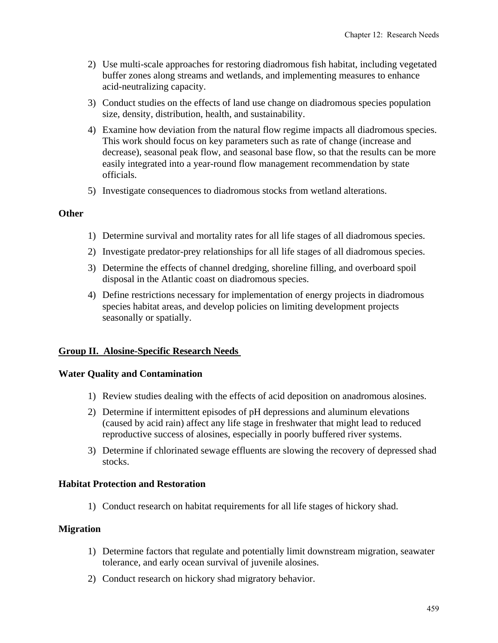- 2) Use multi-scale approaches for restoring diadromous fish habitat, including vegetated buffer zones along streams and wetlands, and implementing measures to enhance acid-neutralizing capacity.
- 3) Conduct studies on the effects of land use change on diadromous species population size, density, distribution, health, and sustainability.
- 4) Examine how deviation from the natural flow regime impacts all diadromous species. This work should focus on key parameters such as rate of change (increase and decrease), seasonal peak flow, and seasonal base flow, so that the results can be more easily integrated into a year-round flow management recommendation by state officials.
- 5) Investigate consequences to diadromous stocks from wetland alterations.

## **Other**

- 1) Determine survival and mortality rates for all life stages of all diadromous species.
- 2) Investigate predator-prey relationships for all life stages of all diadromous species.
- 3) Determine the effects of channel dredging, shoreline filling, and overboard spoil disposal in the Atlantic coast on diadromous species.
- 4) Define restrictions necessary for implementation of energy projects in diadromous species habitat areas, and develop policies on limiting development projects seasonally or spatially.

## **Group II. Alosine-Specific Research Needs**

#### **Water Quality and Contamination**

- 1) Review studies dealing with the effects of acid deposition on anadromous alosines.
- 2) Determine if intermittent episodes of pH depressions and aluminum elevations (caused by acid rain) affect any life stage in freshwater that might lead to reduced reproductive success of alosines, especially in poorly buffered river systems.
- 3) Determine if chlorinated sewage effluents are slowing the recovery of depressed shad stocks.

#### **Habitat Protection and Restoration**

1) Conduct research on habitat requirements for all life stages of hickory shad.

#### **Migration**

- 1) Determine factors that regulate and potentially limit downstream migration, seawater tolerance, and early ocean survival of juvenile alosines.
- 2) Conduct research on hickory shad migratory behavior.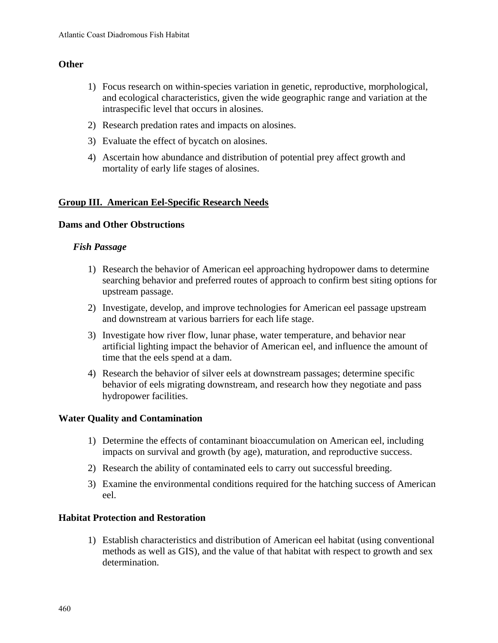## **Other**

- 1) Focus research on within-species variation in genetic, reproductive, morphological, and ecological characteristics, given the wide geographic range and variation at the intraspecific level that occurs in alosines.
- 2) Research predation rates and impacts on alosines.
- 3) Evaluate the effect of bycatch on alosines.
- 4) Ascertain how abundance and distribution of potential prey affect growth and mortality of early life stages of alosines.

## **Group III. American Eel-Specific Research Needs**

#### **Dams and Other Obstructions**

#### *Fish Passage*

- 1) Research the behavior of American eel approaching hydropower dams to determine searching behavior and preferred routes of approach to confirm best siting options for upstream passage.
- 2) Investigate, develop, and improve technologies for American eel passage upstream and downstream at various barriers for each life stage.
- 3) Investigate how river flow, lunar phase, water temperature, and behavior near artificial lighting impact the behavior of American eel, and influence the amount of time that the eels spend at a dam.
- 4) Research the behavior of silver eels at downstream passages; determine specific behavior of eels migrating downstream, and research how they negotiate and pass hydropower facilities.

#### **Water Quality and Contamination**

- 1) Determine the effects of contaminant bioaccumulation on American eel, including impacts on survival and growth (by age), maturation, and reproductive success.
- 2) Research the ability of contaminated eels to carry out successful breeding.
- 3) Examine the environmental conditions required for the hatching success of American eel.

## **Habitat Protection and Restoration**

1) Establish characteristics and distribution of American eel habitat (using conventional methods as well as GIS), and the value of that habitat with respect to growth and sex determination.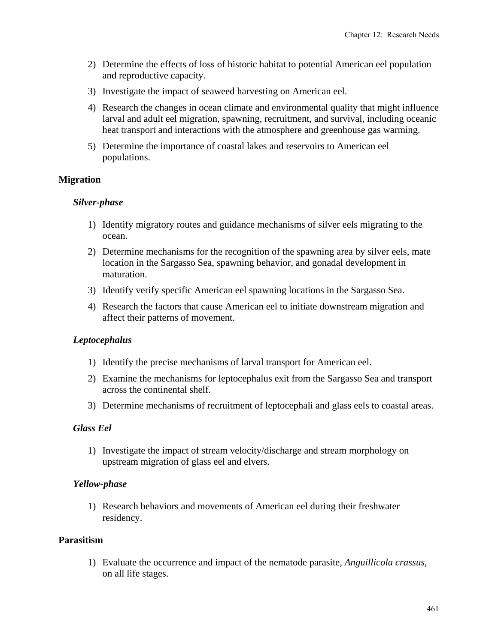- 2) Determine the effects of loss of historic habitat to potential American eel population and reproductive capacity.
- 3) Investigate the impact of seaweed harvesting on American eel.
- 4) Research the changes in ocean climate and environmental quality that might influence larval and adult eel migration, spawning, recruitment, and survival, including oceanic heat transport and interactions with the atmosphere and greenhouse gas warming.
- 5) Determine the importance of coastal lakes and reservoirs to American eel populations.

## **Migration**

## *Silver-phase*

- 1) Identify migratory routes and guidance mechanisms of silver eels migrating to the ocean.
- 2) Determine mechanisms for the recognition of the spawning area by silver eels, mate location in the Sargasso Sea, spawning behavior, and gonadal development in maturation.
- 3) Identify verify specific American eel spawning locations in the Sargasso Sea.
- 4) Research the factors that cause American eel to initiate downstream migration and affect their patterns of movement.

## *Leptocephalus*

- 1) Identify the precise mechanisms of larval transport for American eel.
- 2) Examine the mechanisms for leptocephalus exit from the Sargasso Sea and transport across the continental shelf.
- 3) Determine mechanisms of recruitment of leptocephali and glass eels to coastal areas.

## *Glass Eel*

1) Investigate the impact of stream velocity/discharge and stream morphology on upstream migration of glass eel and elvers.

#### *Yellow-phase*

1) Research behaviors and movements of American eel during their freshwater residency.

#### **Parasitism**

1) Evaluate the occurrence and impact of the nematode parasite, *Anguillicola crassus*, on all life stages.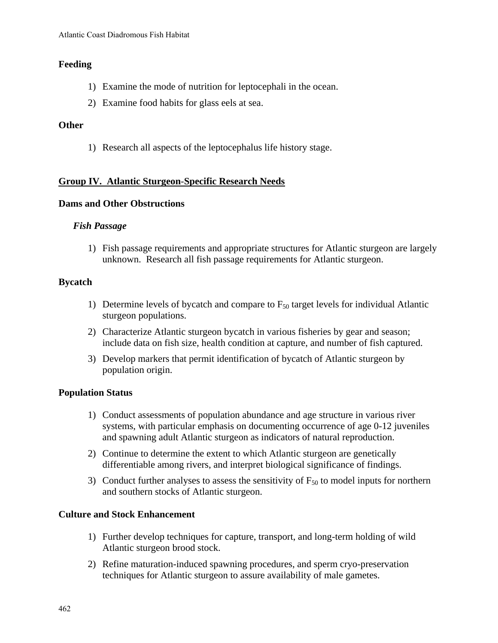## **Feeding**

- 1) Examine the mode of nutrition for leptocephali in the ocean.
- 2) Examine food habits for glass eels at sea.

#### **Other**

1) Research all aspects of the leptocephalus life history stage.

## **Group IV. Atlantic Sturgeon**-**Specific Research Needs**

#### **Dams and Other Obstructions**

#### *Fish Passage*

1) Fish passage requirements and appropriate structures for Atlantic sturgeon are largely unknown. Research all fish passage requirements for Atlantic sturgeon.

#### **Bycatch**

- 1) Determine levels of bycatch and compare to  $F_{50}$  target levels for individual Atlantic sturgeon populations.
- 2) Characterize Atlantic sturgeon bycatch in various fisheries by gear and season; include data on fish size, health condition at capture, and number of fish captured.
- 3) Develop markers that permit identification of bycatch of Atlantic sturgeon by population origin.

#### **Population Status**

- 1) Conduct assessments of population abundance and age structure in various river systems, with particular emphasis on documenting occurrence of age 0-12 juveniles and spawning adult Atlantic sturgeon as indicators of natural reproduction.
- 2) Continue to determine the extent to which Atlantic sturgeon are genetically differentiable among rivers, and interpret biological significance of findings.
- 3) Conduct further analyses to assess the sensitivity of  $F_{50}$  to model inputs for northern and southern stocks of Atlantic sturgeon.

#### **Culture and Stock Enhancement**

- 1) Further develop techniques for capture, transport, and long-term holding of wild Atlantic sturgeon brood stock.
- 2) Refine maturation-induced spawning procedures, and sperm cryo-preservation techniques for Atlantic sturgeon to assure availability of male gametes.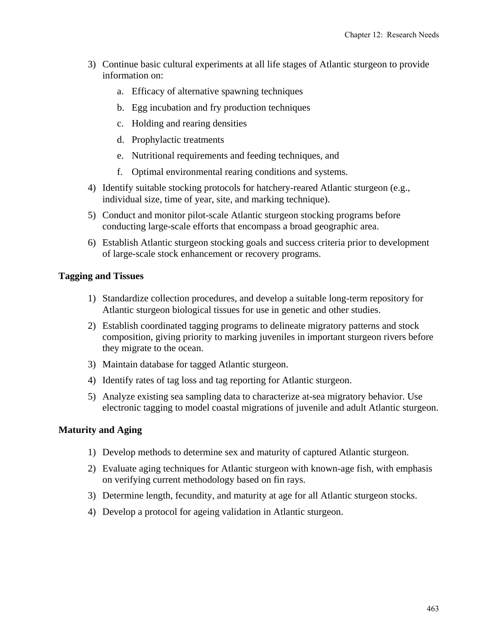- 3) Continue basic cultural experiments at all life stages of Atlantic sturgeon to provide information on:
	- a. Efficacy of alternative spawning techniques
	- b. Egg incubation and fry production techniques
	- c. Holding and rearing densities
	- d. Prophylactic treatments
	- e. Nutritional requirements and feeding techniques, and
	- f. Optimal environmental rearing conditions and systems.
- 4) Identify suitable stocking protocols for hatchery-reared Atlantic sturgeon (e.g., individual size, time of year, site, and marking technique).
- 5) Conduct and monitor pilot-scale Atlantic sturgeon stocking programs before conducting large-scale efforts that encompass a broad geographic area.
- 6) Establish Atlantic sturgeon stocking goals and success criteria prior to development of large-scale stock enhancement or recovery programs.

## **Tagging and Tissues**

- 1) Standardize collection procedures, and develop a suitable long-term repository for Atlantic sturgeon biological tissues for use in genetic and other studies.
- 2) Establish coordinated tagging programs to delineate migratory patterns and stock composition, giving priority to marking juveniles in important sturgeon rivers before they migrate to the ocean.
- 3) Maintain database for tagged Atlantic sturgeon.
- 4) Identify rates of tag loss and tag reporting for Atlantic sturgeon.
- 5) Analyze existing sea sampling data to characterize at-sea migratory behavior. Use electronic tagging to model coastal migrations of juvenile and adult Atlantic sturgeon.

## **Maturity and Aging**

- 1) Develop methods to determine sex and maturity of captured Atlantic sturgeon.
- 2) Evaluate aging techniques for Atlantic sturgeon with known-age fish, with emphasis on verifying current methodology based on fin rays.
- 3) Determine length, fecundity, and maturity at age for all Atlantic sturgeon stocks.
- 4) Develop a protocol for ageing validation in Atlantic sturgeon.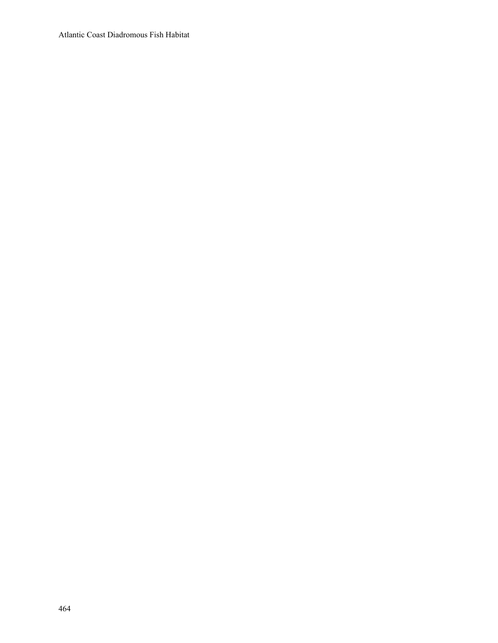Atlantic Coast Diadromous Fish Habitat